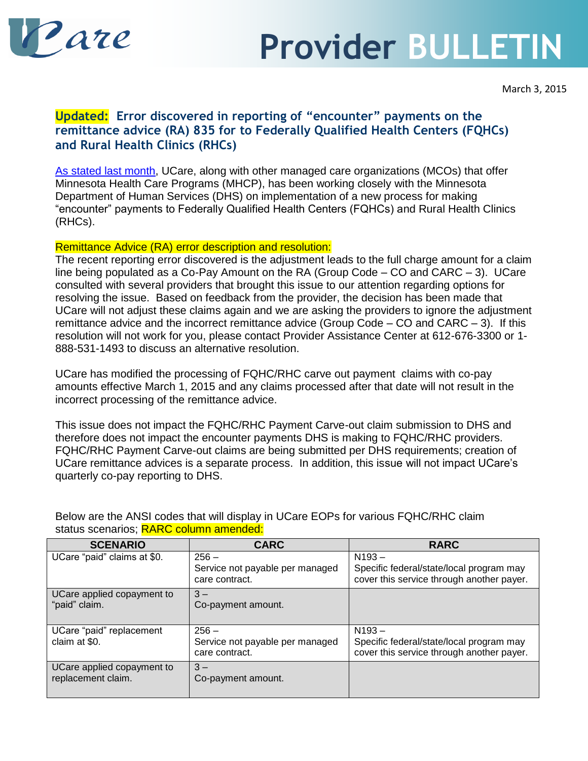

## **Provider BULLETIN**

## **Updated: Error discovered in reporting of "encounter" payments on the remittance advice (RA) 835 for to Federally Qualified Health Centers (FQHCs) and Rural Health Clinics (RHCs)**

[As stated last month,](http://www.ucare.org/providers/Documents/January_2015_Bulletin_FQHC-RHC.pdf) UCare, along with other managed care organizations (MCOs) that offer Minnesota Health Care Programs (MHCP), has been working closely with the Minnesota Department of Human Services (DHS) on implementation of a new process for making "encounter" payments to Federally Qualified Health Centers (FQHCs) and Rural Health Clinics (RHCs).

## Remittance Advice (RA) error description and resolution:

The recent reporting error discovered is the adjustment leads to the full charge amount for a claim line being populated as a Co-Pay Amount on the RA (Group Code – CO and CARC – 3). UCare consulted with several providers that brought this issue to our attention regarding options for resolving the issue. Based on feedback from the provider, the decision has been made that UCare will not adjust these claims again and we are asking the providers to ignore the adjustment remittance advice and the incorrect remittance advice (Group Code – CO and CARC – 3). If this resolution will not work for you, please contact Provider Assistance Center at 612-676-3300 or 1- 888-531-1493 to discuss an alternative resolution.

UCare has modified the processing of FQHC/RHC carve out payment claims with co-pay amounts effective March 1, 2015 and any claims processed after that date will not result in the incorrect processing of the remittance advice.

This issue does not impact the FQHC/RHC Payment Carve-out claim submission to DHS and therefore does not impact the encounter payments DHS is making to FQHC/RHC providers. FQHC/RHC Payment Carve-out claims are being submitted per DHS requirements; creation of UCare remittance advices is a separate process. In addition, this issue will not impact UCare's quarterly co-pay reporting to DHS.

| <b>SCENARIO</b>                                  | <b>CARC</b>                                       | <b>RARC</b>                                                                           |
|--------------------------------------------------|---------------------------------------------------|---------------------------------------------------------------------------------------|
| UCare "paid" claims at \$0.                      | $256 -$                                           | $N193 -$                                                                              |
|                                                  | Service not payable per managed<br>care contract. | Specific federal/state/local program may<br>cover this service through another payer. |
| UCare applied copayment to<br>"paid" claim.      | $3 -$<br>Co-payment amount.                       |                                                                                       |
|                                                  |                                                   |                                                                                       |
| UCare "paid" replacement                         | $256 -$                                           | $N193 -$                                                                              |
| claim at \$0.                                    | Service not payable per managed<br>care contract. | Specific federal/state/local program may<br>cover this service through another payer. |
| UCare applied copayment to<br>replacement claim. | $3 -$<br>Co-payment amount.                       |                                                                                       |

Below are the ANSI codes that will display in UCare EOPs for various FQHC/RHC claim status scenarios: RARC column amended: